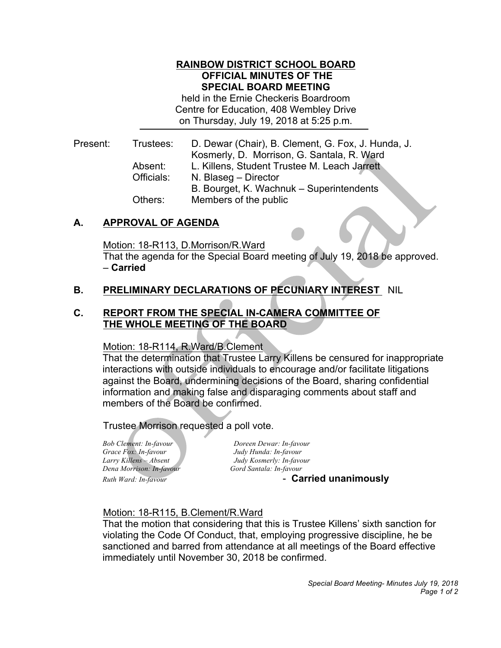### **RAINBOW DISTRICT SCHOOL BOARD OFFICIAL MINUTES OF THE SPECIAL BOARD MEETING**

 held in the Ernie Checkeris Boardroom Centre for Education, 408 Wembley Drive on Thursday, July 19, 2018 at 5:25 p.m.

Trustees: Kosmerly, D. Morrison, G. Santala, R. Ward Absent: Present: Trustees: D. Dewar (Chair), B. Clement, G. Fox, J. Hunda, J. L. Killens, Student Trustee M. Leach Jarrett Officials: N. Blaseg – Director B. Bourget, K. Wachnuk – Superintendents Others: Members of the public

## **A. APPROVAL OF AGENDA**

Motion: 18-R113, D.Morrison/R.Ward

 That the agenda for the Special Board meeting of July 19, 2018 be approved. – **Carried** 

## **B. PRELIMINARY DECLARATIONS OF PECUNIARY INTEREST** NIL

### **C. REPORT FROM THE SPECIAL IN-CAMERA COMMITTEE OF THE WHOLE MEETING OF THE BOARD**

#### Motion: 18-R114, R.Ward/B.Clement

 That the determination that Trustee Larry Killens be censured for inappropriate interactions with outside individuals to encourage and/or facilitate litigations against the Board, undermining decisions of the Board, sharing confidential information and making false and disparaging comments about staff and members of the Board be confirmed.

### Trustee Morrison requested a poll vote.

**Bob Clement: In-favour**  *Grace Fox: In-favour Judy Hunda: In-favour* Larry Killens - Absent  *Dena Morrison: In-favour Gord Santala: In-favour* **Ruth Ward: In-favour** 

*Bob Clement: In-favour Doreen Dewar: In-favour Larry Killens – Absent Judy Kosmerly: In-favour*

*Ruth Ward: In-favour* - **Carried unanimously** 

### Motion: 18-R115, B.Clement/R.Ward

 That the motion that considering that this is Trustee Killens' sixth sanction for violating the Code Of Conduct, that, employing progressive discipline, he be sanctioned and barred from attendance at all meetings of the Board effective immediately until November 30, 2018 be confirmed.